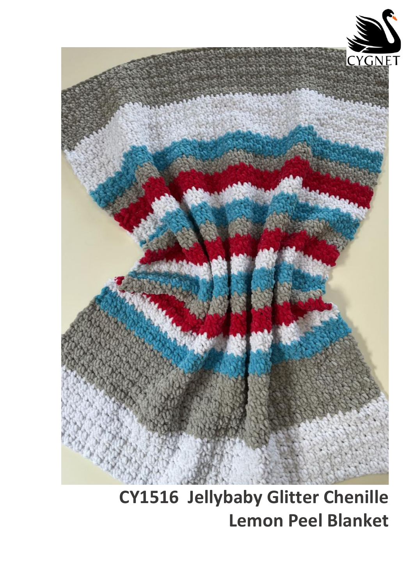

**CY1516 Jellybaby Glitter Chenille Lemon Peel Blanket**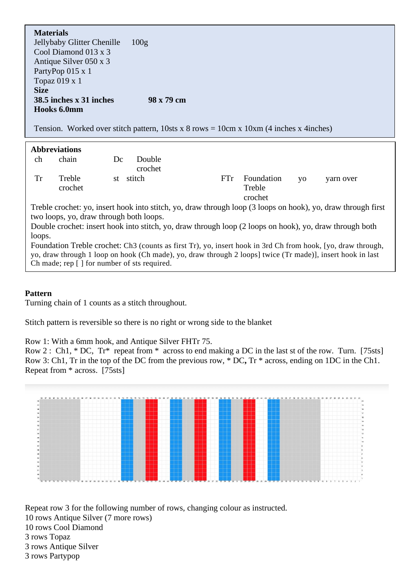**Materials**

Jellybaby Glitter Chenille Cool Diamond 013 x 3 Antique Silver 050 x 3 PartyPop 015 x 1 Topaz 019 x 1 100g **Size 38.5 inches x 31 inches Hooks 6.0mm 98 x 79 cm**

Tension. Worked over stitch pattern,  $10$ sts x 8 rows =  $10$ cm x  $10$ xm  $(4$  inches x 4inches)

| <b>Abbreviations</b>                                                                                                                                                                                                                                                      |                   |    |                   |     |                                 |           |           |
|---------------------------------------------------------------------------------------------------------------------------------------------------------------------------------------------------------------------------------------------------------------------------|-------------------|----|-------------------|-----|---------------------------------|-----------|-----------|
| ch                                                                                                                                                                                                                                                                        | chain             | Dc | Double<br>crochet |     |                                 |           |           |
| Tr                                                                                                                                                                                                                                                                        | Treble<br>crochet | st | stitch            | FTr | Foundation<br>Treble<br>crochet | <b>VO</b> | yarn over |
| Treble crochet: yo, insert hook into stitch, yo, draw through loop (3 loops on hook), yo, draw through first                                                                                                                                                              |                   |    |                   |     |                                 |           |           |
| two loops, yo, draw through both loops.                                                                                                                                                                                                                                   |                   |    |                   |     |                                 |           |           |
| Double crochet: insert hook into stitch, yo, draw through loop (2 loops on hook), yo, draw through both                                                                                                                                                                   |                   |    |                   |     |                                 |           |           |
| loops.                                                                                                                                                                                                                                                                    |                   |    |                   |     |                                 |           |           |
| Foundation Treble crochet: Ch3 (counts as first Tr), yo, insert hook in 3rd Ch from hook, [yo, draw through,<br>yo, draw through 1 loop on hook (Ch made), yo, draw through 2 loops] twice (Tr made)], insert hook in last<br>Ch made; rep [] for number of sts required. |                   |    |                   |     |                                 |           |           |

## **Pattern**

Turning chain of 1 counts as a stitch throughout.

Stitch pattern is reversible so there is no right or wrong side to the blanket

Row 1: With a 6mm hook, and Antique Silver FHTr 75.

Row 2 : Ch1, \* DC, Tr\* repeat from \* across to end making a DC in the last st of the row. Turn. [75sts] Row 3: Ch1, Tr in the top of the DC from the previous row, \* DC**,** Tr \* across, ending on 1DC in the Ch1. Repeat from \* across. [75sts]



Repeat row 3 for the following number of rows, changing colour as instructed. 10 rows Antique Silver (7 more rows) 10 rows Cool Diamond 3 rows Topaz 3 rows Antique Silver 3 rows Partypop